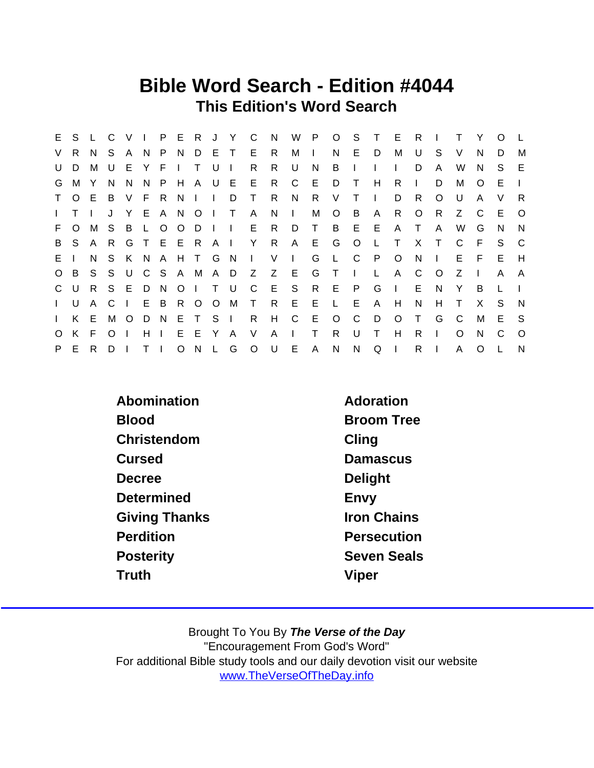### Bible Word Search - Edition #4044 This Edition's Word Search

| E.           | S.             | $\mathsf{L}$ | $\overline{C}$ | V.             | $\sim 1$ .   |     |                |               |       | P E R J Y C    |                                          | N,  | W            | P.           | $\overline{O}$ | S.           | $\top$       | - E          | R.           |                |          | Y        | $\Omega$ |          |
|--------------|----------------|--------------|----------------|----------------|--------------|-----|----------------|---------------|-------|----------------|------------------------------------------|-----|--------------|--------------|----------------|--------------|--------------|--------------|--------------|----------------|----------|----------|----------|----------|
| V            | R.             | N.           | S.             | A N            |              |     | P N            |               | D E T |                | E R                                      |     | М            | $\mathbf{I}$ | N.             | E.           | D.           | М            | U            | S.             | V        | N        | D.       | м        |
| U            | D              | м            | U              | E              | Y            | E   |                | $\mathsf{T}$  | . U   | $\blacksquare$ | R.                                       | R.  | U            | N            | B              | $\mathbf{I}$ |              | $\mathbf{I}$ | D            | A              | W        | N        | S.       | E        |
|              | G M Y          |              | N              | N.             | N.           | P H |                |               |       |                | A U E E R                                |     | $\mathsf{C}$ | E D          |                | $\top$       | H            | R.           | $\mathbf{L}$ | D              | M        | O        | E.       |          |
| $\mathsf{T}$ | $\circ$        | E B          |                | V F R N        |              |     |                | $\mathbf{1}$  |       | D              | $\top$                                   | R.  | N.           | R.           | V              | $\top$       | $\Box$       | D            | R            | $\Omega$       | U        | A        | V        | R.       |
| $\mathbf{L}$ | T.             |              |                | Y.             |              |     |                | E A N O I     |       | $\top$         | $\mathsf{A}$                             | N.  | $\Box$       | М            | $\circ$        | B            | - A          | R.           | $\circ$      | R.             | Z        | - C      | E.       | $\circ$  |
| F.           | $\circ$        | M            | S              | $\overline{B}$ | $\mathbf{L}$ |     | 0 <sub>o</sub> | $D \mid$      |       |                | I E R                                    |     |              | D T          | $\overline{B}$ |              | $E$ $E$      | $\mathsf{A}$ | $\top$       | $\mathsf{A}$   | W        | G        | N        | N        |
|              |                | B S A R      |                |                |              |     |                | G T E E R A I |       |                | Y R                                      |     |              | A E G        |                | $\circ$      | $\mathbb{L}$ | $\top$       | $\mathsf{X}$ | $\top$         | C        | - F      | S.       | C.       |
| E.           |                | N.           |                | S K N          |              |     |                | A H T G N     |       |                | $\begin{array}{ccc} & & V & \end{array}$ |     |              | G            | $\mathsf{L}$   | $\mathsf{C}$ | $\mathsf{P}$ | $\circ$      | N            | $\blacksquare$ | E.       | F.       | E.       | H        |
|              | O B            |              |                |                |              |     |                |               |       |                | S S U C S A M A D Z Z E                  |     |              | G            | $\top$         | $\mathbf{L}$ | $\mathsf{L}$ | $\mathsf{A}$ | $\mathsf{C}$ | $\circ$        | Z        | $\Box$   | A        | A        |
|              | C U            |              | R S E D N      |                |              |     |                | $O$   T U     |       |                | $\mathsf{C}$                             | E S |              |              | R E            | P.           | G            | $\Box$       | E            | N              | Y        | B        |          |          |
|              | $\mathsf{L}$ U | A C          |                | $\pm 1$ .      |              |     |                | E B R O O M   |       |                | T R                                      |     | E            | - E          | $\mathsf{L}$   | E            | A            | H            | N            | H              | $\top$   | X        | S.       | N        |
|              | $I$ K E        |              | M              | $\circ$        |              |     |                | DNETSI        |       |                | $\mathsf{R}$                             | H   | $\mathbf{C}$ | E            | $\circ$        | C            | D            | $\circ$      | $\mathsf{T}$ | G              | C        | M        | E.       | - S      |
| $\circ$      | K              | E            | $\Omega$       |                | H            |     | E.             | E.            | Y     | A              | $\vee$                                   | A   | $\mathbf{L}$ | T.           | R.             | U            | $\mathsf{T}$ | H            | R.           | L              | $\Omega$ | N        | C        | $\Omega$ |
| P.           | E.             | R.           | D              |                | $T \perp$    |     | $\circ$        |               | N L   | G              | $O$ U                                    |     | E.           | A            | N              | N            | Q            | $\Box$       | R            |                | A        | $\Omega$ |          | N        |

| Abomination          | Adoration          |
|----------------------|--------------------|
| <b>Blood</b>         | <b>Broom Tree</b>  |
| Christendom          | Cling              |
| Cursed               | <b>Damascus</b>    |
| Decree               | Delight            |
| Determined           | Envy               |
| <b>Giving Thanks</b> | <b>Iron Chains</b> |
| Perdition            | Persecution        |
| <b>Posterity</b>     | <b>Seven Seals</b> |
| Truth                | Viper              |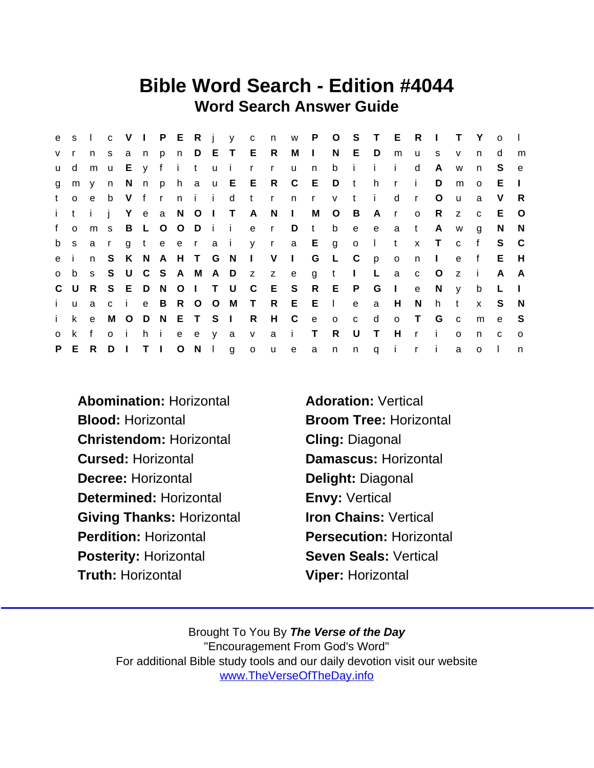# Bible Word Search - Edition #4044 Word Search Answer Guide

| e            |              | $S \cup$       |              |              |           |         |                   |                 |                 |                           |                |              |                         |                |              | C V I P E R j y c n w P O S T E R I |              |              | $\top$       | Y            | $\Omega$     |          |
|--------------|--------------|----------------|--------------|--------------|-----------|---------|-------------------|-----------------|-----------------|---------------------------|----------------|--------------|-------------------------|----------------|--------------|-------------------------------------|--------------|--------------|--------------|--------------|--------------|----------|
| $V$ r        |              |                | n s          |              |           |         |                   |                 | anp n D E T E R |                           | $M$ $I$        |              |                         | N E D          |              | m                                   | <b>u</b>     | s.           | $\mathsf{V}$ | n            | d            | m        |
| <b>u</b>     | d            | m u            |              |              |           |         | Ey fitui          |                 | $\mathsf{r}$    | $\mathsf{r}$              | <b>u</b>       | n            | b                       | $\mathbf{i}$   | $\mathbf{i}$ | -i-                                 | d            | A            | W            | n.           | S.           | e        |
| g            | m            | V              | n            |              |           |         |                   |                 |                 | N n p h a u E E R C E D t |                |              |                         |                | h            | $\mathsf{r}$                        | $\mathbf{i}$ | D            | m            | $\Omega$     | E            |          |
| t            | $\Omega$     | $\mathbf{e}$   | b            | V fr         |           |         | ni i              | d               | $-t$            |                           | r n r          |              | v t i                   |                |              | d                                   | $\mathsf{r}$ | O            | $\mathsf{u}$ | a            | V            | -R       |
| i t          |              | $\mathbf{i}$ i |              |              |           |         |                   | Y e a N O I T A |                 | N                         | $\sim 10^{-1}$ |              | M O                     | $\overline{B}$ | Ar           |                                     | $\circ$      | R.           | $\mathsf{Z}$ | $\mathbf{C}$ | E.           | $\circ$  |
| f            | $\Omega$     | m <sub>s</sub> |              |              |           | B L O O | Dii               |                 | e               | $\mathbf{r}$              | D              | $-t$         | $\mathsf{b}$            | e              | $\mathbf{e}$ | a                                   | $-t$         | A            | W            | g            | N            | N        |
| b s          |              | a r            |              |              |           |         | g t e e r a i     |                 |                 | y r a E g o I             |                |              |                         |                |              | $\mathbf{t}$                        |              | x T          | $\mathbf{C}$ | f            | S.           | - C      |
| e i          |              |                | n S          |              |           |         | K N A H T G N     |                 | $\mathsf{I}$ V  |                           | $\sim 1$ .     |              | G L                     | $\mathbb{C}$   | p            | $\overline{O}$                      | n            | $\Box$       | e            | f            | E.           | - H      |
| $\circ$      | b            |                |              |              |           |         |                   |                 |                 | s S U C S A M A D z z e   |                | $\mathbf{g}$ | $-t$                    | $\mathbf{L}$   | <b>L</b>     | a                                   | $\mathbf{C}$ | $\circ$      | $\mathsf{Z}$ | - i          | $\mathsf{A}$ | - A      |
|              | C U          |                |              |              |           |         | R S E D N O I T U |                 | $\mathsf{C}$    | E                         | $\mathbf{S}$   |              | R E P                   |                | G            | $\mathbb{R}$                        | e            | N            | $\mathsf{V}$ | b            | L            |          |
| $\mathbf{i}$ | $\mathbf{u}$ | a              | $\mathbf{C}$ | $\mathbf{i}$ |           |         |                   | e B R O O M T   |                 |                           | R E E          |              | $\Box$                  | e              | a            | H                                   | N            | h            | t            | $\mathsf{x}$ | S            | N,       |
| i.           | $\mathsf{k}$ | $\mathbf{e}$   | M            | $\circ$      |           |         | DNETSI            |                 | R               | $H$ $C$                   |                | e            | $\overline{\mathbf{0}}$ | $\mathbf{C}$   | d            | $\circ$                             | $\top$       | G            | $\mathbf{C}$ | m            | $\mathbf{e}$ | -S       |
| $\circ$      | k            | f              | $\Omega$     | - i -        | $h$ i     |         | e e y a           |                 | V               | $\mathsf{a}$              | $\mathbf{I}$   | $\top$       | $\mathsf{R}$            | U              | $\top$       | H                                   | $\mathsf{r}$ | $\mathbf{i}$ | $\Omega$     | n.           | $\mathbf{C}$ | $\Omega$ |
|              | P E          |                | R D          | $\Box$       | $T \perp$ |         |                   | $O$ N I g       | $\mathsf{o}$    | $\mathsf{u}$              | e              | $\mathsf{a}$ |                         |                |              | nnqir                               |              | $\mathbf{i}$ | a            | $\mathsf{o}$ |              | n        |

Abomination: Horizontal **Adoration: Vertical** Blood: Horizontal Broom Tree: Horizontal Christendom: Horizontal Cling: Diagonal Cursed: Horizontal Damascus: Horizontal Decree: Horizontal Delight: Diagonal Determined: Horizontal **Envy: Vertical** Giving Thanks: Horizontal Iron Chains: Vertical Perdition: Horizontal **Persecution: Horizontal** Posterity: Horizontal Seven Seals: Vertical Truth: Horizontal Viper: Horizontal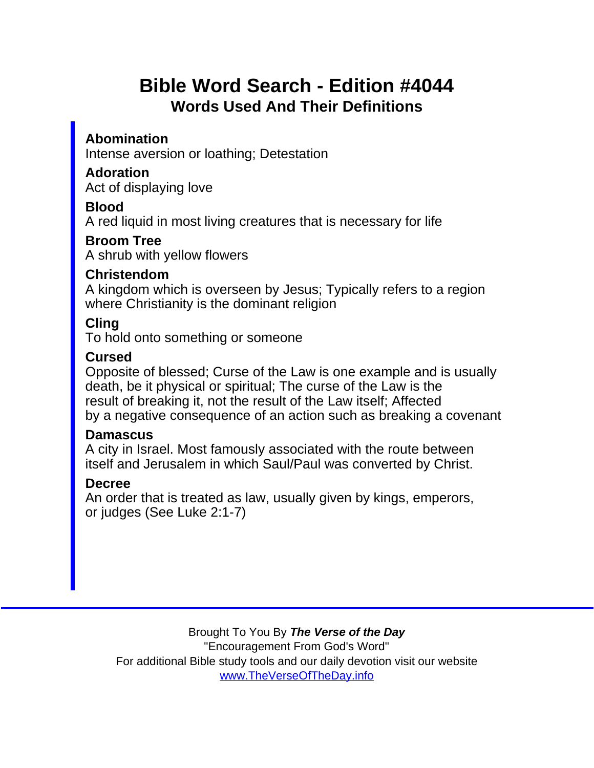# Bible Word Search - Edition #4044 Words Used And Their Definitions

Abomination Intense aversion or loathing; Detestation

Adoration Act of displaying love

Blood

A red liquid in most living creatures that is necessary for life

Broom Tree A shrub with yellow flowers

Christendom

A kingdom which is overseen by Jesus; Typically refers to a region where Christianity is the dominant religion

Cling

To hold onto something or someone

**Cursed** 

Opposite of blessed; Curse of the Law is one example and is usually death, be it physical or spiritual; The curse of the Law is the result of breaking it, not the result of the Law itself; Affected by a negative consequence of an action such as breaking a covenant

**Damascus** 

A city in Israel. Most famously associated with the route between itself and Jerusalem in which Saul/Paul was converted by Christ.

#### Decree

An order that is treated as law, usually given by kings, emperors, or judges (See Luke 2:1-7)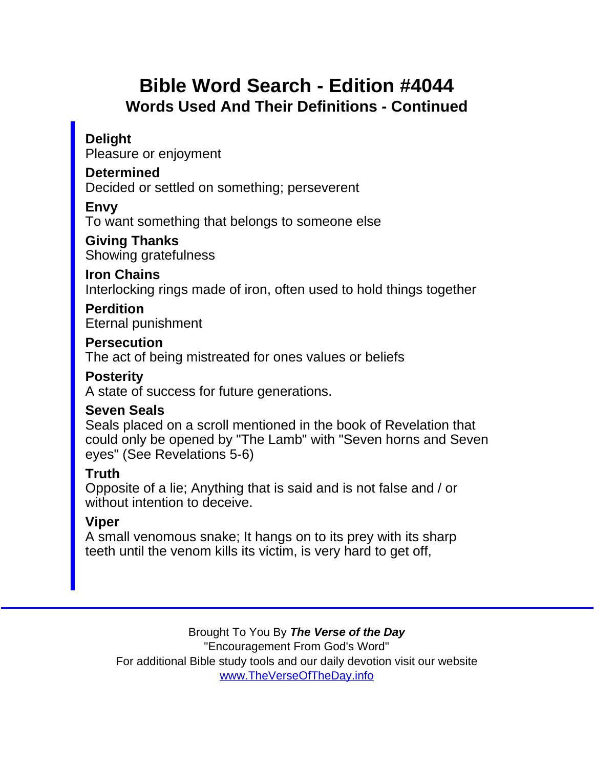# Bible Word Search - Edition #4044 Words Used And Their Definitions - Continued

### **Delight**

Pleasure or enjoyment

**Determined** 

Decided or settled on something; perseverent

Envy

To want something that belongs to someone else

Giving Thanks Showing gratefulness

Iron Chains

Interlocking rings made of iron, often used to hold things together

Perdition

Eternal punishment

Persecution

The act of being mistreated for ones values or beliefs

**Posterity** 

A state of success for future generations.

Seven Seals

Seals placed on a scroll mentioned in the book of Revelation that could only be opened by "The Lamb" with "Seven horns and Seven eyes" (See Revelations 5-6)

Truth

Opposite of a lie; Anything that is said and is not false and / or without intention to deceive.

Viper

A small venomous snake; It hangs on to its prey with its sharp teeth until the venom kills its victim, is very hard to get off,